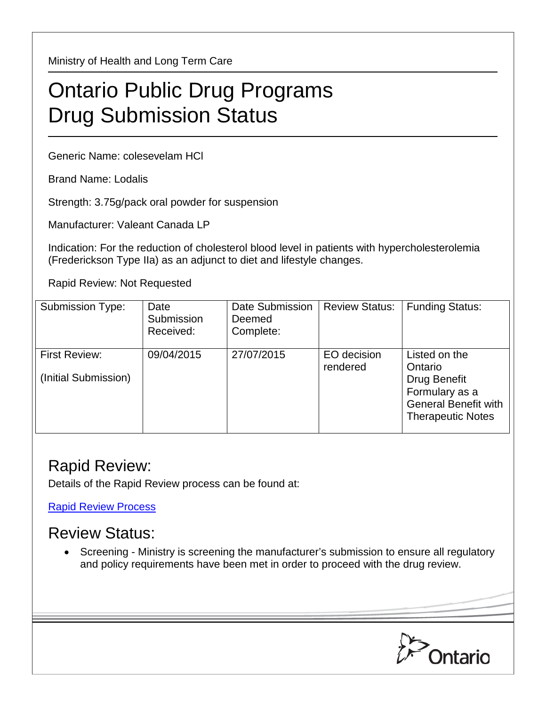Ministry of Health and Long Term Care

## Ontario Public Drug Programs Drug Submission Status

Generic Name: colesevelam HCl

Brand Name: Lodalis

Strength: 3.75g/pack oral powder for suspension

Manufacturer: Valeant Canada LP

Indication: For the reduction of cholesterol blood level in patients with hypercholesterolemia (Frederickson Type IIa) as an adjunct to diet and lifestyle changes.

Rapid Review: Not Requested

| <b>Submission Type:</b>               | Date<br>Submission<br>Received: | Date Submission<br>Deemed<br>Complete: | <b>Review Status:</b>   | <b>Funding Status:</b>                                                                                                       |
|---------------------------------------|---------------------------------|----------------------------------------|-------------------------|------------------------------------------------------------------------------------------------------------------------------|
| First Review:<br>(Initial Submission) | 09/04/2015                      | 27/07/2015                             | EO decision<br>rendered | Listed on the<br>Ontario<br><b>Drug Benefit</b><br>Formulary as a<br><b>General Benefit with</b><br><b>Therapeutic Notes</b> |

## Rapid Review:

Details of the Rapid Review process can be found at:

[Rapid Review Process](http://www.health.gov.on.ca/en/pro/programs/drugs/drug_submissions/rapid_review_process.aspx)

## Review Status:

• Screening - Ministry is screening the manufacturer's submission to ensure all regulatory and policy requirements have been met in order to proceed with the drug review.